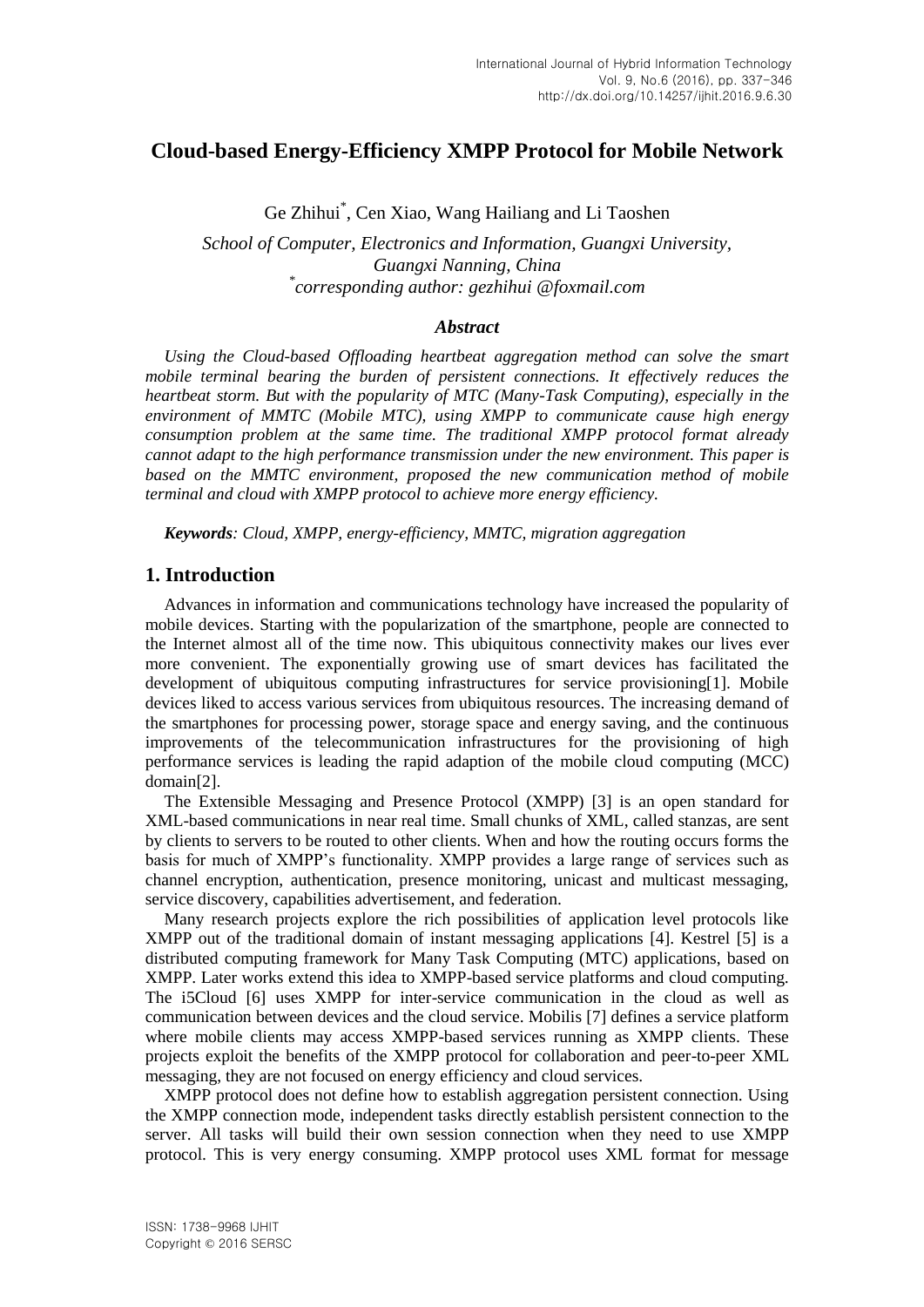# **Cloud-based Energy-Efficiency XMPP Protocol for Mobile Network**

Ge Zhihui\* , Cen Xiao, Wang Hailiang and Li Taoshen

*School of Computer, Electronics and Information, Guangxi University, Guangxi Nanning, China \* corresponding author: gezhihui @foxmail.com*

#### *Abstract*

*Using the Cloud-based Offloading heartbeat aggregation method can solve the smart mobile terminal bearing the burden of persistent connections. It effectively reduces the heartbeat storm. But with the popularity of MTC (Many-Task Computing), especially in the environment of MMTC (Mobile MTC), using XMPP to communicate cause high energy consumption problem at the same time. The traditional XMPP protocol format already cannot adapt to the high performance transmission under the new environment. This paper is based on the MMTC environment, proposed the new communication method of mobile terminal and cloud with XMPP protocol to achieve more energy efficiency.*

*Keywords: Cloud, XMPP, energy-efficiency, MMTC, migration aggregation*

## **1. Introduction**

Advances in information and communications technology have increased the popularity of mobile devices. Starting with the popularization of the smartphone, people are connected to the Internet almost all of the time now. This ubiquitous connectivity makes our lives ever more convenient. The exponentially growing use of smart devices has facilitated the development of ubiquitous computing infrastructures for service provisioning[1]. Mobile devices liked to access various services from ubiquitous resources. The increasing demand of the smartphones for processing power, storage space and energy saving, and the continuous improvements of the telecommunication infrastructures for the provisioning of high performance services is leading the rapid adaption of the mobile cloud computing (MCC) domain[2].

The Extensible Messaging and Presence Protocol (XMPP) [3] is an open standard for XML-based communications in near real time. Small chunks of XML, called stanzas, are sent by clients to servers to be routed to other clients. When and how the routing occurs forms the basis for much of XMPP's functionality. XMPP provides a large range of services such as channel encryption, authentication, presence monitoring, unicast and multicast messaging, service discovery, capabilities advertisement, and federation.

Many research projects explore the rich possibilities of application level protocols like XMPP out of the traditional domain of instant messaging applications [4]. Kestrel [5] is a distributed computing framework for Many Task Computing (MTC) applications, based on XMPP. Later works extend this idea to XMPP-based service platforms and cloud computing. The i5Cloud [6] uses XMPP for inter-service communication in the cloud as well as communication between devices and the cloud service. Mobilis [7] defines a service platform where mobile clients may access XMPP-based services running as XMPP clients. These projects exploit the benefits of the XMPP protocol for collaboration and peer-to-peer XML messaging, they are not focused on energy efficiency and cloud services.

XMPP protocol does not define how to establish aggregation persistent connection. Using the XMPP connection mode, independent tasks directly establish persistent connection to the server. All tasks will build their own session connection when they need to use XMPP protocol. This is very energy consuming. XMPP protocol uses XML format for message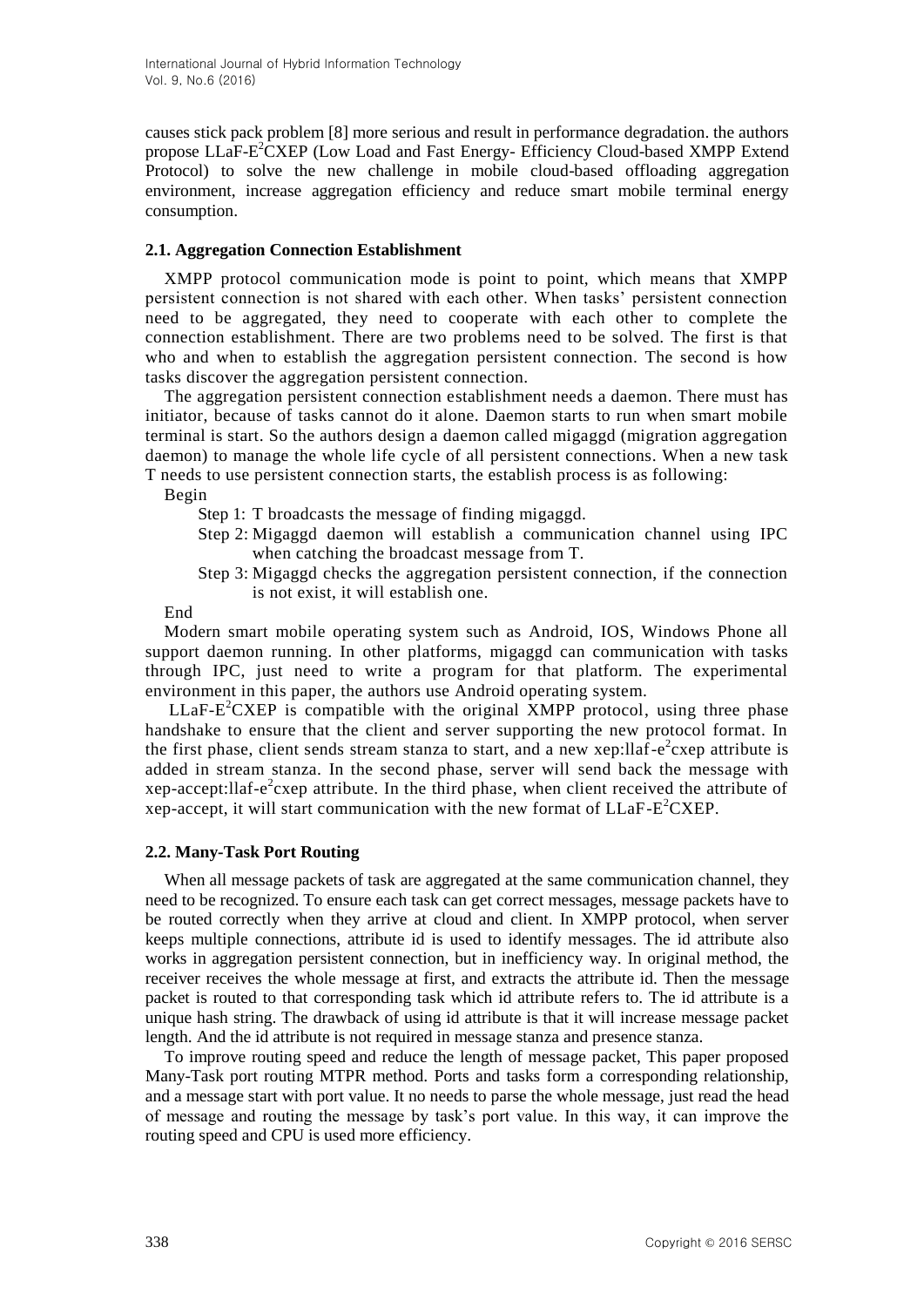causes stick pack problem [8] more serious and result in performance degradation. the authors propose LLaF-E<sup>2</sup>CXEP (Low Load and Fast Energy- Efficiency Cloud-based XMPP Extend Protocol) to solve the new challenge in mobile cloud-based offloading aggregation environment, increase aggregation efficiency and reduce smart mobile terminal energy consumption.

### **2.1. Aggregation Connection Establishment**

XMPP protocol communication mode is point to point, which means that XMPP persistent connection is not shared with each other. When tasks' persistent connection need to be aggregated, they need to cooperate with each other to complete the connection establishment. There are two problems need to be solved. The first is that who and when to establish the aggregation persistent connection. The second is how tasks discover the aggregation persistent connection.

The aggregation persistent connection establishment needs a daemon. There must has initiator, because of tasks cannot do it alone. Daemon starts to run when smart mobile terminal is start. So the authors design a daemon called migaggd (migration aggregation daemon) to manage the whole life cycle of all persistent connections. When a new task T needs to use persistent connection starts, the establish process is as following:

Begin

- Step 1: T broadcasts the message of finding migaggd.
- Step 2: Migaggd daemon will establish a communication channel using IPC when catching the broadcast message from T.
- Step 3: Migaggd checks the aggregation persistent connection, if the connection is not exist, it will establish one.

End

Modern smart mobile operating system such as Android, IOS, Windows Phone all support daemon running. In other platforms, migaggd can communication with tasks through IPC, just need to write a program for that platform. The experimental environment in this paper, the authors use Android operating system.

 $LLaF-E<sup>2</sup>CXEP$  is compatible with the original XMPP protocol, using three phase handshake to ensure that the client and server supporting the new protocol format. In the first phase, client sends stream stanza to start, and a new xep:llaf- $e^2$ cxep attribute is added in stream stanza. In the second phase, server will send back the message with xep-accept: llaf-e<sup>2</sup> cxep attribute. In the third phase, when client received the attribute of xep-accept, it will start communication with the new format of LLaF-E <sup>2</sup>CXEP.

#### **2.2. Many-Task Port Routing**

When all message packets of task are aggregated at the same communication channel, they need to be recognized. To ensure each task can get correct messages, message packets have to be routed correctly when they arrive at cloud and client. In XMPP protocol, when server keeps multiple connections, attribute id is used to identify messages. The id attribute also works in aggregation persistent connection, but in inefficiency way. In original method, the receiver receives the whole message at first, and extracts the attribute id. Then the message packet is routed to that corresponding task which id attribute refers to. The id attribute is a unique hash string. The drawback of using id attribute is that it will increase message packet length. And the id attribute is not required in message stanza and presence stanza.

To improve routing speed and reduce the length of message packet, This paper proposed Many-Task port routing MTPR method. Ports and tasks form a corresponding relationship, and a message start with port value. It no needs to parse the whole message, just read the head of message and routing the message by task's port value. In this way, it can improve the routing speed and CPU is used more efficiency.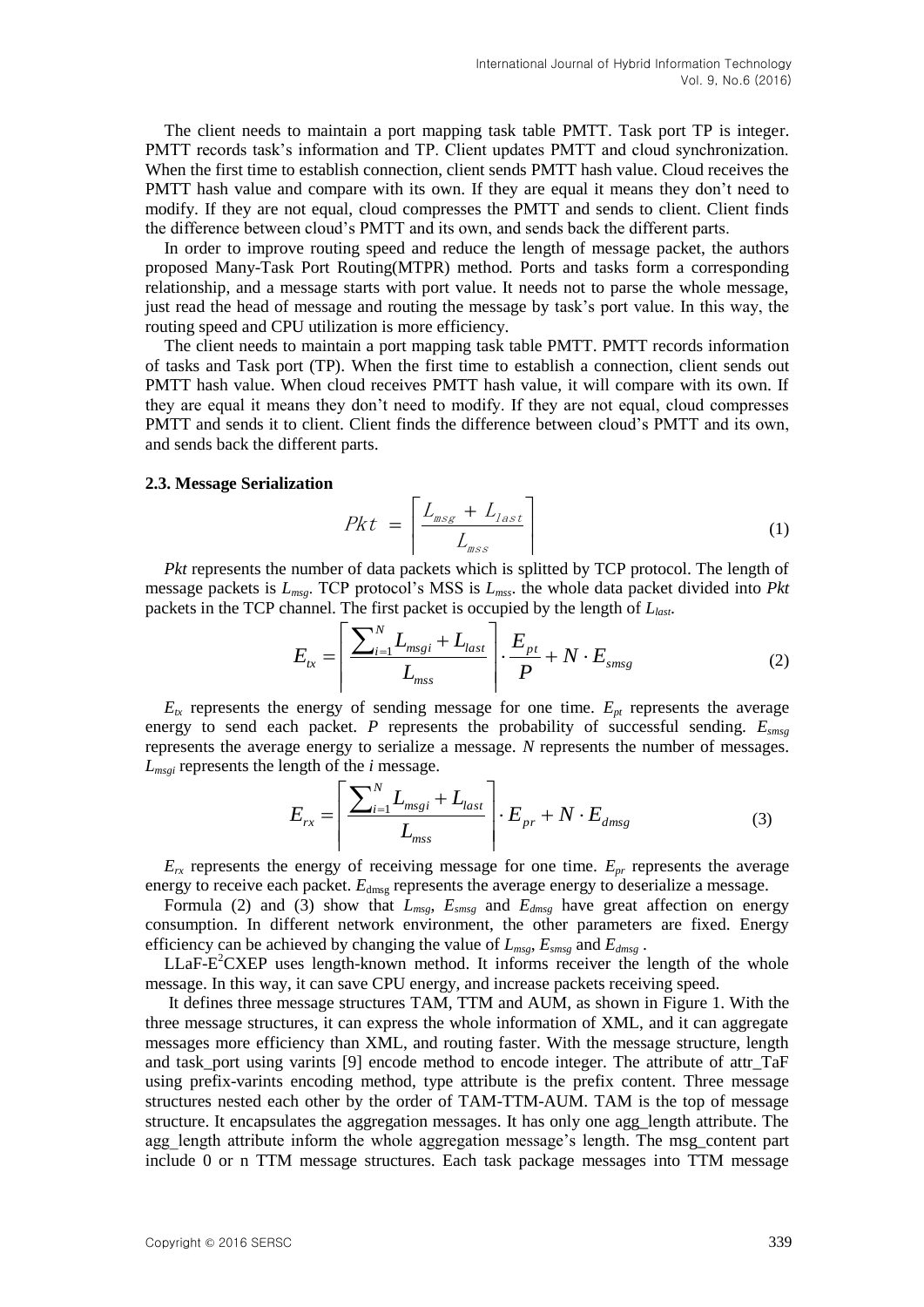The client needs to maintain a port mapping task table PMTT. Task port TP is integer. PMTT records task's information and TP. Client updates PMTT and cloud synchronization. When the first time to establish connection, client sends PMTT hash value. Cloud receives the PMTT hash value and compare with its own. If they are equal it means they don't need to modify. If they are not equal, cloud compresses the PMTT and sends to client. Client finds the difference between cloud's PMTT and its own, and sends back the different parts.

In order to improve routing speed and reduce the length of message packet, the authors proposed Many-Task Port Routing(MTPR) method. Ports and tasks form a corresponding relationship, and a message starts with port value. It needs not to parse the whole message, just read the head of message and routing the message by task's port value. In this way, the routing speed and CPU utilization is more efficiency.

The client needs to maintain a port mapping task table PMTT. PMTT records information of tasks and Task port (TP). When the first time to establish a connection, client sends out PMTT hash value. When cloud receives PMTT hash value, it will compare with its own. If they are equal it means they don't need to modify. If they are not equal, cloud compresses PMTT and sends it to client. Client finds the difference between cloud's PMTT and its own, and sends back the different parts.

#### **2.3. Message Serialization**

$$
Pkt = \left\lceil \frac{L_{\text{msg}} + L_{\text{last}}}{L_{\text{msg}}}\right\rceil \tag{1}
$$

*Pkt* represents the number of data packets which is splitted by TCP protocol. The length of message packets is *Lmsg*. TCP protocol's MSS is *Lmss*. the whole data packet divided into *Pkt* packets in the TCP channel. The first packet is occupied by the length of *Llast*.

$$
E_{tx} = \left\lceil \frac{\sum_{i=1}^{N} L_{msgi} + L_{last}}{L_{msg}} \right\rceil \cdot \frac{E_{pt}}{P} + N \cdot E_{smsg} \tag{2}
$$

 $E_{tx}$  represents the energy of sending message for one time.  $E_{pt}$  represents the average energy to send each packet. *P* represents the probability of successful sending. *Esmsg* represents the average energy to serialize a message. *N* represents the number of messages.  $L_{msgi}$  represents the length of the *i* message.

$$
E_{rx} = \left[ \frac{\sum_{i=1}^{N} L_{msg_i} + L_{last}}{L_{msg}} \right] \cdot E_{pr} + N \cdot E_{dmsg} \tag{3}
$$

 $E_{rx}$  represents the energy of receiving message for one time.  $E_{pr}$  represents the average energy to receive each packet.  $E_{dmsg}$  represents the average energy to deserialize a message.

Formula (2) and (3) show that *Lmsg*, *Esmsg* and *Edmsg* have great affection on energy consumption. In different network environment, the other parameters are fixed. Energy efficiency can be achieved by changing the value of  $L_{msg}$ ,  $E_{smsg}$  and  $E_{dmsg}$ .

LLaF-E<sup>2</sup>CXEP uses length-known method. It informs receiver the length of the whole message. In this way, it can save CPU energy, and increase packets receiving speed.

It defines three message structures TAM, TTM and AUM, as shown in Figure 1. With the three message structures, it can express the whole information of XML, and it can aggregate messages more efficiency than XML, and routing faster. With the message structure, length and task port using varints [9] encode method to encode integer. The attribute of attr TaF using prefix-varints encoding method, type attribute is the prefix content. Three message structures nested each other by the order of TAM-TTM-AUM. TAM is the top of message structure. It encapsulates the aggregation messages. It has only one agg\_length attribute. The agg\_length attribute inform the whole aggregation message's length. The msg\_content part include 0 or n TTM message structures. Each task package messages into TTM message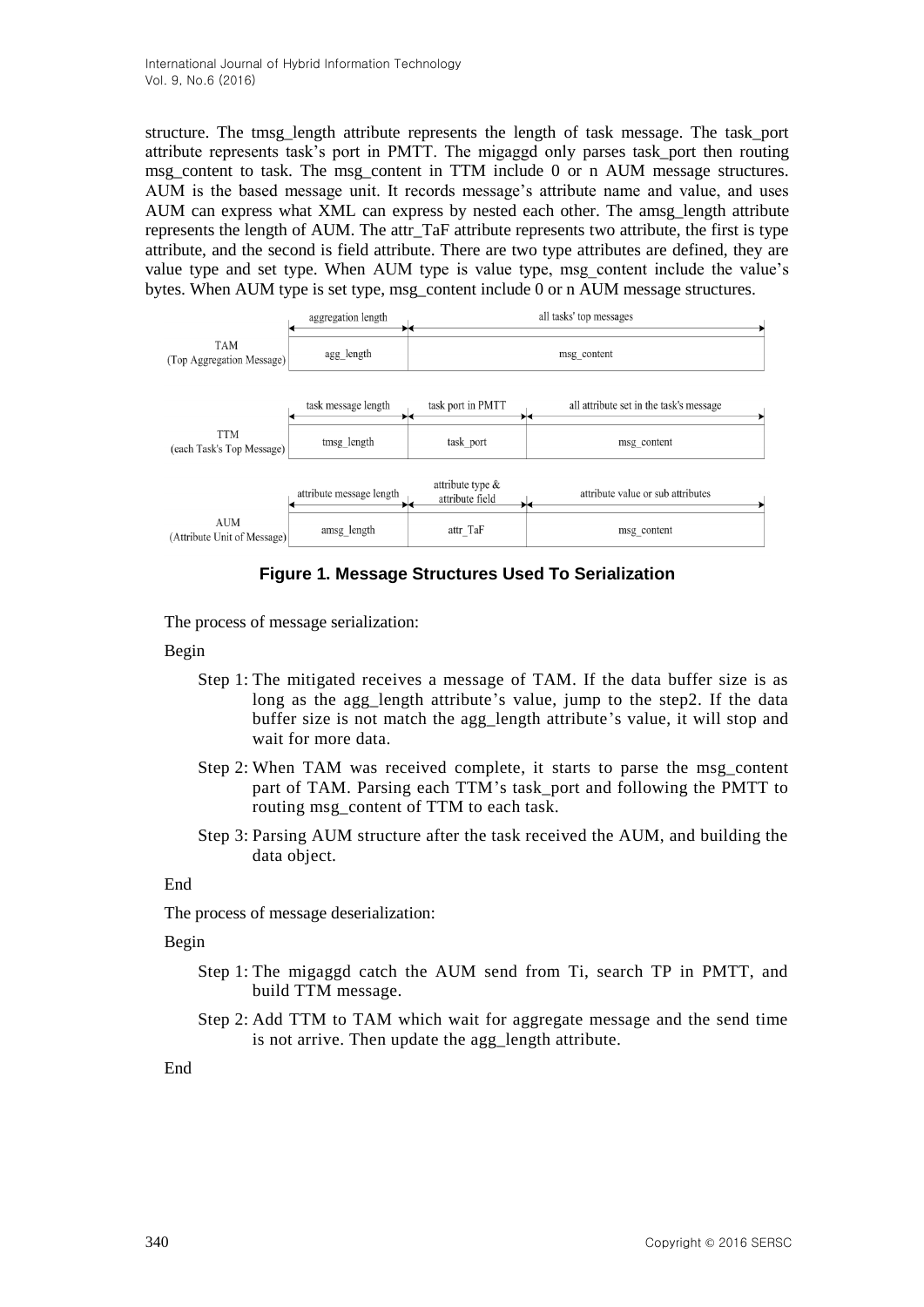structure. The tmsg\_length attribute represents the length of task message. The task\_port attribute represents task's port in PMTT. The migaggd only parses task\_port then routing msg\_content to task. The msg\_content in TTM include 0 or n AUM message structures. AUM is the based message unit. It records message's attribute name and value, and uses AUM can express what XML can express by nested each other. The amsg\_length attribute represents the length of AUM. The attr\_TaF attribute represents two attribute, the first is type attribute, and the second is field attribute. There are two type attributes are defined, they are value type and set type. When AUM type is value type, msg\_content include the value's bytes. When AUM type is set type, msg\_content include 0 or n AUM message structures.



**Figure 1. Message Structures Used To Serialization**

The process of message serialization:

### Begin

- Step 1: The mitigated receives a message of TAM. If the data buffer size is as long as the agg\_length attribute's value, jump to the step2. If the data buffer size is not match the agg\_length attribute's value, it will stop and wait for more data.
- Step 2: When TAM was received complete, it starts to parse the msg\_content part of TAM. Parsing each TTM's task\_port and following the PMTT to routing msg\_content of TTM to each task.
- Step 3: Parsing AUM structure after the task received the AUM, and building the data object.

#### End

The process of message deserialization:

#### Begin

- Step 1: The migaggd catch the AUM send from Ti, search TP in PMTT, and build TTM message.
- Step 2: Add TTM to TAM which wait for aggregate message and the send time is not arrive. Then update the agg\_length attribute.

#### End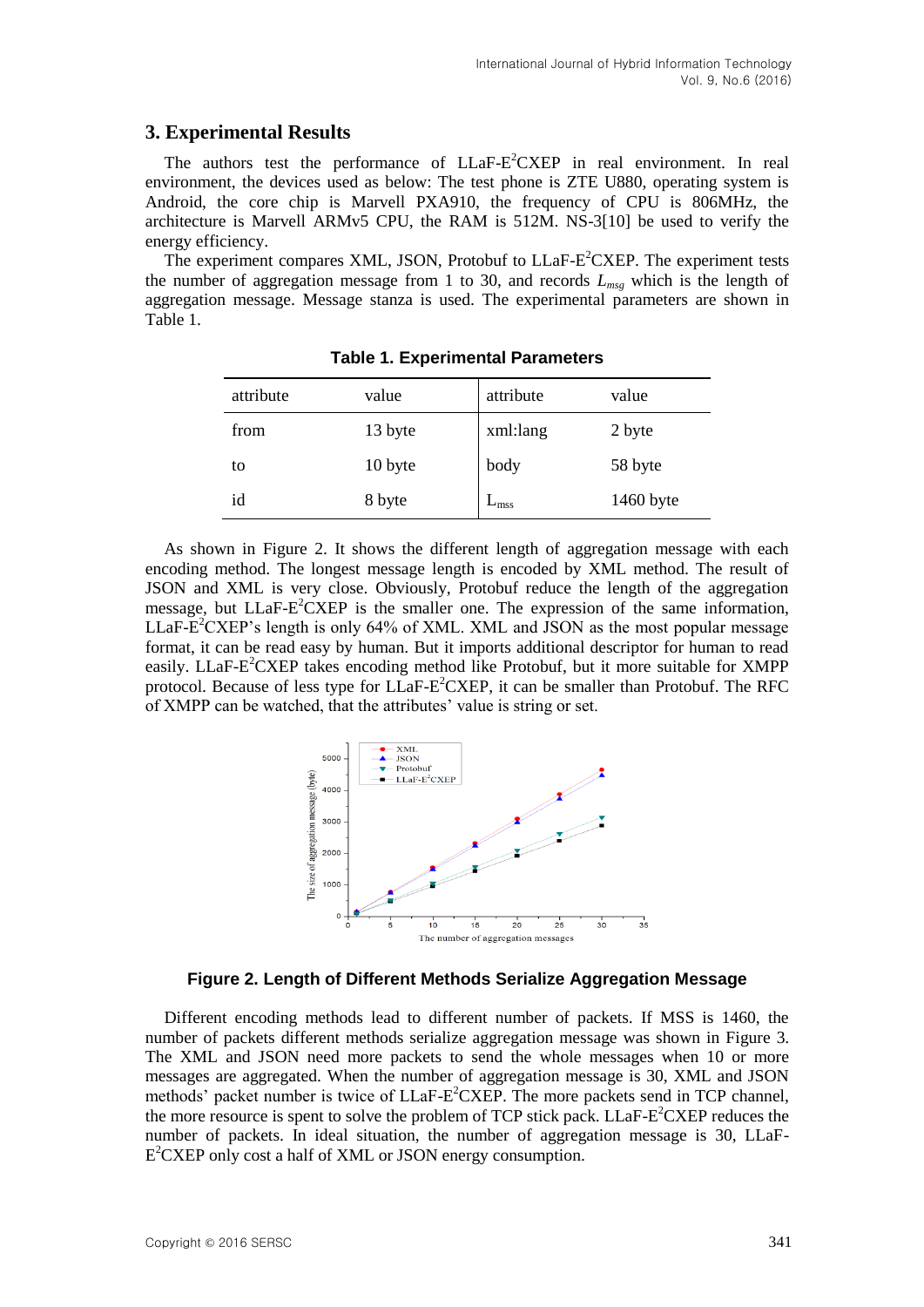### **3. Experimental Results**

The authors test the performance of LLaF-E<sup>2</sup>CXEP in real environment. In real environment, the devices used as below: The test phone is ZTE U880, operating system is Android, the core chip is Marvell PXA910, the frequency of CPU is 806MHz, the architecture is Marvell ARMv5 CPU, the RAM is 512M. NS-3[10] be used to verify the energy efficiency.

The experiment compares XML, JSON, Protobuf to LLaF-E<sup>2</sup>CXEP. The experiment tests the number of aggregation message from 1 to 30, and records  $L_{mg}$  which is the length of aggregation message. Message stanza is used. The experimental parameters are shown in Table 1.

| attribute | value   | attribute      | value     |
|-----------|---------|----------------|-----------|
| from      | 13 byte | xml:lang       | 2 byte    |
| to        | 10 byte | body           | 58 byte   |
| id        | 8 byte  | $L_{\rm miss}$ | 1460 byte |

**Table 1. Experimental Parameters**

As shown in Figure 2. It shows the different length of aggregation message with each encoding method. The longest message length is encoded by XML method. The result of JSON and XML is very close. Obviously, Protobuf reduce the length of the aggregation message, but LLaF-E<sup>2</sup>CXEP is the smaller one. The expression of the same information, LLaF- $E^2$ CXEP's length is only 64% of XML. XML and JSON as the most popular message format, it can be read easy by human. But it imports additional descriptor for human to read easily. LLaF-E<sup>2</sup>CXEP takes encoding method like Protobuf, but it more suitable for XMPP protocol. Because of less type for  $LLaF-E^2CXEP$ , it can be smaller than Protobuf. The RFC of XMPP can be watched, that the attributes' value is string or set.



#### **Figure 2. Length of Different Methods Serialize Aggregation Message**

Different encoding methods lead to different number of packets. If MSS is 1460, the number of packets different methods serialize aggregation message was shown in Figure 3. The XML and JSON need more packets to send the whole messages when 10 or more messages are aggregated. When the number of aggregation message is 30, XML and JSON methods' packet number is twice of LLaF-E<sup>2</sup>CXEP. The more packets send in TCP channel, the more resource is spent to solve the problem of TCP stick pack. LLaF-E<sup>2</sup>CXEP reduces the number of packets. In ideal situation, the number of aggregation message is 30, LLaF-E <sup>2</sup>CXEP only cost a half of XML or JSON energy consumption.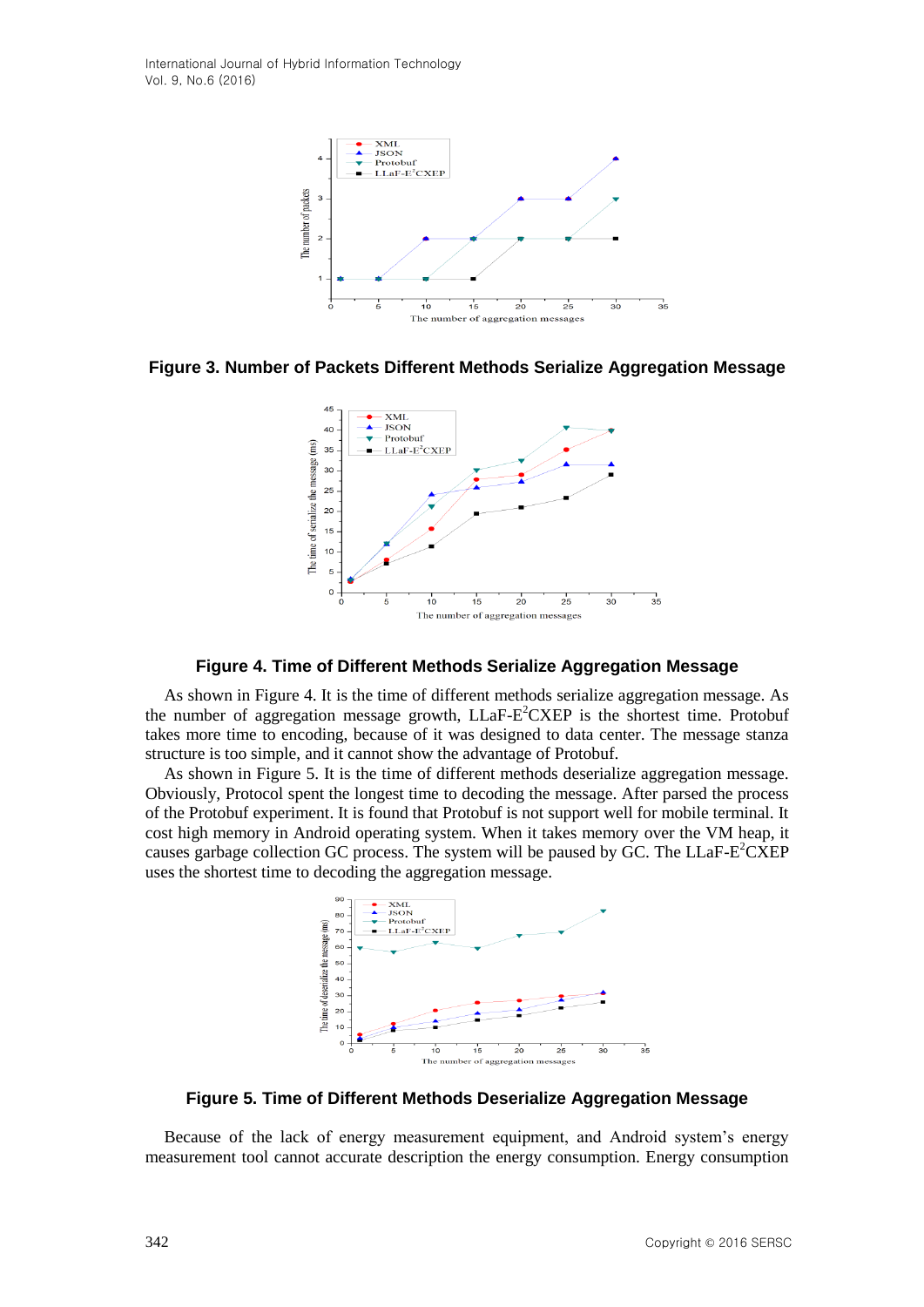International Journal of Hybrid Information Technology Vol. 9, No.6 (2016)



**Figure 3. Number of Packets Different Methods Serialize Aggregation Message**



**Figure 4. Time of Different Methods Serialize Aggregation Message**

As shown in Figure 4. It is the time of different methods serialize aggregation message. As the number of aggregation message growth, LLaF-E<sup>2</sup>CXEP is the shortest time. Protobuf takes more time to encoding, because of it was designed to data center. The message stanza structure is too simple, and it cannot show the advantage of Protobuf.

As shown in Figure 5. It is the time of different methods deserialize aggregation message. Obviously, Protocol spent the longest time to decoding the message. After parsed the process of the Protobuf experiment. It is found that Protobuf is not support well for mobile terminal. It cost high memory in Android operating system. When it takes memory over the VM heap, it causes garbage collection GC process. The system will be paused by GC. The LLaF- $E^2$ CXEP uses the shortest time to decoding the aggregation message.



**Figure 5. Time of Different Methods Deserialize Aggregation Message**

Because of the lack of energy measurement equipment, and Android system's energy measurement tool cannot accurate description the energy consumption. Energy consumption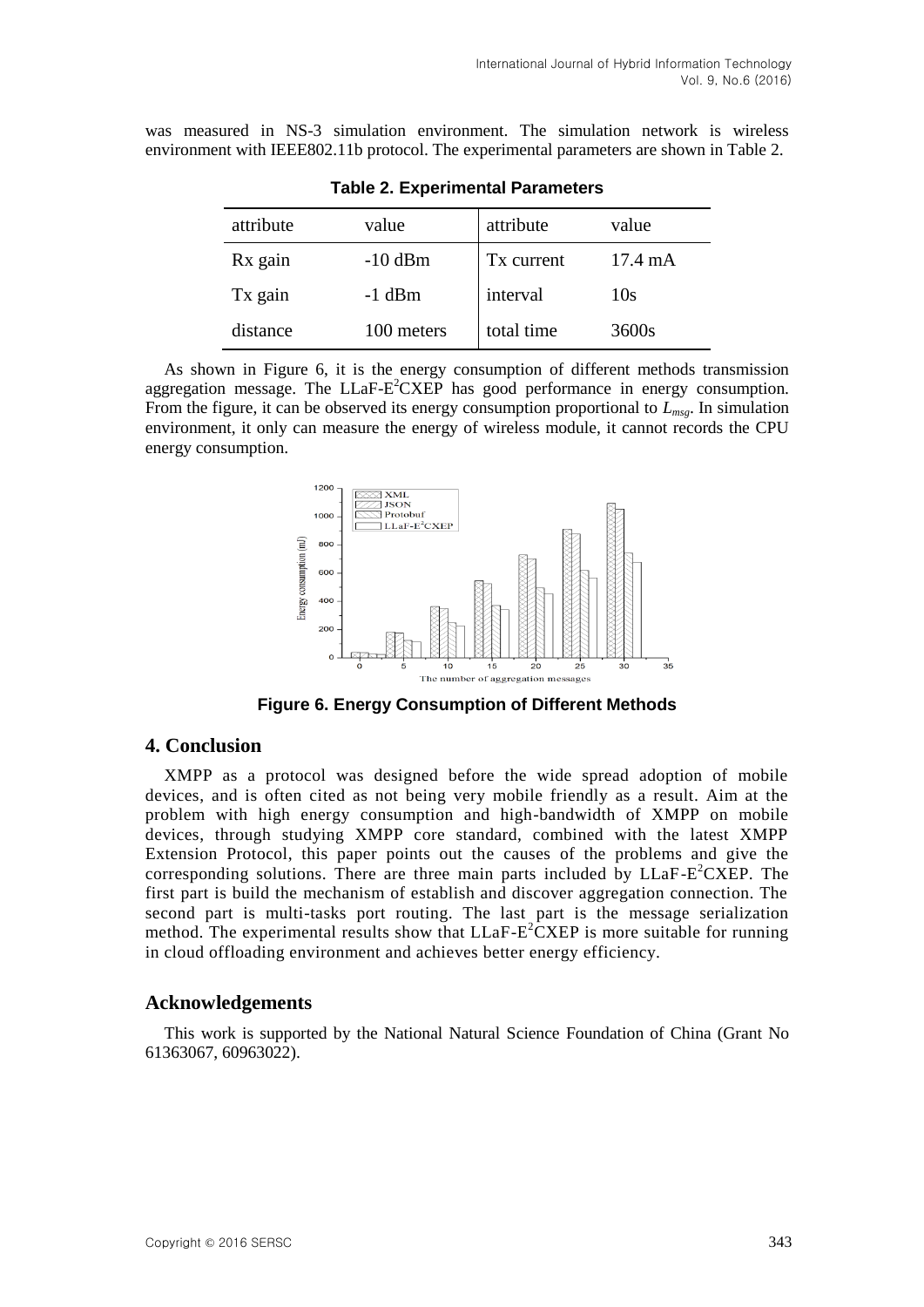was measured in NS-3 simulation environment. The simulation network is wireless environment with IEEE802.11b protocol. The experimental parameters are shown in Table 2.

| attribute | value      | attribute  | value             |
|-----------|------------|------------|-------------------|
| Rx gain   | $-10$ dBm  | Tx current | $17.4 \text{ mA}$ |
| Tx gain   | $-1$ dBm   | interval   | 10s               |
| distance  | 100 meters | total time | 3600s             |

**Table 2. Experimental Parameters**

As shown in Figure 6, it is the energy consumption of different methods transmission aggregation message. The  $LLaF-E^2CXEP$  has good performance in energy consumption. From the figure, it can be observed its energy consumption proportional to *Lmsg*. In simulation environment, it only can measure the energy of wireless module, it cannot records the CPU energy consumption.



**Figure 6. Energy Consumption of Different Methods**

### **4. Conclusion**

XMPP as a protocol was designed before the wide spread adoption of mobile devices, and is often cited as not being very mobile friendly as a result. Aim at the problem with high energy consumption and high-bandwidth of XMPP on mobile devices, through studying XMPP core standard, combined with the latest XMPP Extension Protocol, this paper points out the causes of the problems and give the corresponding solutions. There are three main parts included by  $LLaF-E^2CXEP$ . The first part is build the mechanism of establish and discover aggregation connection. The second part is multi-tasks port routing. The last part is the message serialization method. The experimental results show that  $LLaF-E^2CXEP$  is more suitable for running in cloud offloading environment and achieves better energy efficiency.

### **Acknowledgements**

This work is supported by the National Natural Science Foundation of China (Grant No 61363067, 60963022).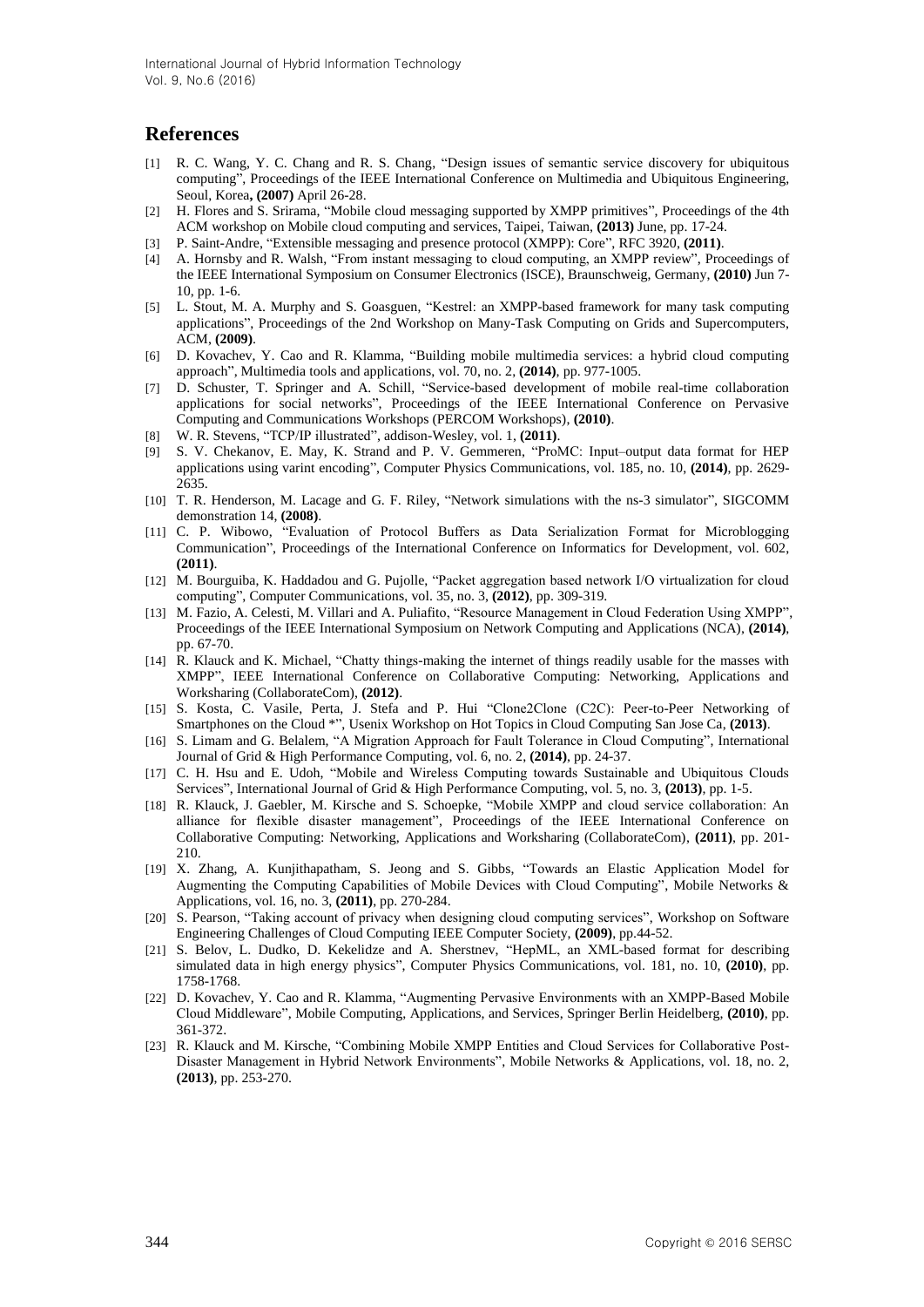## **References**

- [1] R. C. Wang, Y. C. Chang and R. S. Chang, "Design issues of semantic service discovery for ubiquitous computing", Proceedings of the IEEE International Conference on Multimedia and Ubiquitous Engineering, Seoul, Korea**, (2007)** April 26-28.
- [2] H. Flores and S. Srirama, "Mobile cloud messaging supported by XMPP primitives", Proceedings of the 4th ACM workshop on Mobile cloud computing and services, Taipei, Taiwan, **(2013)** June, pp. 17-24.
- [3] P. Saint-Andre, "Extensible messaging and presence protocol (XMPP): Core", RFC 3920, **(2011)**.
- [4] A. Hornsby and R. Walsh, "From instant messaging to cloud computing, an XMPP review", Proceedings of the IEEE International Symposium on Consumer Electronics (ISCE), Braunschweig, Germany, **(2010)** Jun 7- 10, pp. 1-6.
- [5] L. Stout, M. A. Murphy and S. Goasguen, "Kestrel: an XMPP-based framework for many task computing applications", Proceedings of the 2nd Workshop on Many-Task Computing on Grids and Supercomputers, ACM, **(2009)**.
- [6] D. Kovachev, Y. Cao and R. Klamma, "Building mobile multimedia services: a hybrid cloud computing approach", Multimedia tools and applications, vol. 70, no. 2, **(2014)**, pp. 977-1005.
- [7] D. Schuster, T. Springer and A. Schill, "Service-based development of mobile real-time collaboration applications for social networks", Proceedings of the IEEE International Conference on Pervasive Computing and Communications Workshops (PERCOM Workshops), **(2010)**.
- [8] W. R. Stevens, "TCP/IP illustrated", addison-Wesley, vol. 1, **(2011)**.
- [9] S. V. Chekanov, E. May, K. Strand and P. V. Gemmeren, "ProMC: Input–output data format for HEP applications using varint encoding", Computer Physics Communications, vol. 185, no. 10, **(2014)**, pp. 2629- 2635.
- [10] T. R. Henderson, M. Lacage and G. F. Riley, "Network simulations with the ns-3 simulator", SIGCOMM demonstration 14, **(2008)**.
- [11] C. P. Wibowo, "Evaluation of Protocol Buffers as Data Serialization Format for Microblogging Communication", Proceedings of the International Conference on Informatics for Development, vol. 602, **(2011)**.
- [12] M. Bourguiba, K. Haddadou and G. Pujolle, "Packet aggregation based network I/O virtualization for cloud computing", Computer Communications, vol. 35, no. 3, **(2012)**, pp. 309-319.
- [13] M. Fazio, A. Celesti, M. Villari and A. Puliafito, "Resource Management in Cloud Federation Using XMPP", Proceedings of the IEEE International Symposium on Network Computing and Applications (NCA), **(2014)**, pp. 67-70.
- [14] R. Klauck and K. Michael, "Chatty things-making the internet of things readily usable for the masses with XMPP", IEEE International Conference on Collaborative Computing: Networking, Applications and Worksharing (CollaborateCom), **(2012)**.
- [15] S. Kosta, C. Vasile, Perta, J. Stefa and P. Hui "Clone2Clone (C2C): Peer-to-Peer Networking of Smartphones on the Cloud \*", Usenix Workshop on Hot Topics in Cloud Computing San Jose Ca, **(2013)**.
- [16] S. Limam and G. Belalem, "A Migration Approach for Fault Tolerance in Cloud Computing", International Journal of Grid & High Performance Computing, vol. 6, no. 2, **(2014)**, pp. 24-37.
- [17] C. H. Hsu and E. Udoh, "Mobile and Wireless Computing towards Sustainable and Ubiquitous Clouds Services", International Journal of Grid & High Performance Computing, vol. 5, no. 3, **(2013)**, pp. 1-5.
- [18] R. Klauck, J. Gaebler, M. Kirsche and S. Schoepke, "Mobile XMPP and cloud service collaboration: An alliance for flexible disaster management", Proceedings of the IEEE International Conference on Collaborative Computing: Networking, Applications and Worksharing (CollaborateCom), **(2011)**, pp. 201- 210.
- [19] X. Zhang, A. Kunjithapatham, S. Jeong and S. Gibbs, "Towards an Elastic Application Model for Augmenting the Computing Capabilities of Mobile Devices with Cloud Computing", Mobile Networks & Applications, vol. 16, no. 3, **(2011)**, pp. 270-284.
- [20] S. Pearson, "Taking account of privacy when designing cloud computing services", Workshop on Software Engineering Challenges of Cloud Computing IEEE Computer Society, **(2009)**, pp.44-52.
- [21] S. Belov, L. Dudko, D. Kekelidze and A. Sherstnev, "HepML, an XML-based format for describing simulated data in high energy physics", Computer Physics Communications, vol. 181, no. 10, **(2010)**, pp. 1758-1768.
- [22] D. Kovachev, Y. Cao and R. Klamma, "Augmenting Pervasive Environments with an XMPP-Based Mobile Cloud Middleware", Mobile Computing, Applications, and Services, Springer Berlin Heidelberg, **(2010)**, pp. 361-372.
- [23] R. Klauck and M. Kirsche, "Combining Mobile XMPP Entities and Cloud Services for Collaborative Post-Disaster Management in Hybrid Network Environments", Mobile Networks & Applications, vol. 18, no. 2, **(2013)**, pp. 253-270.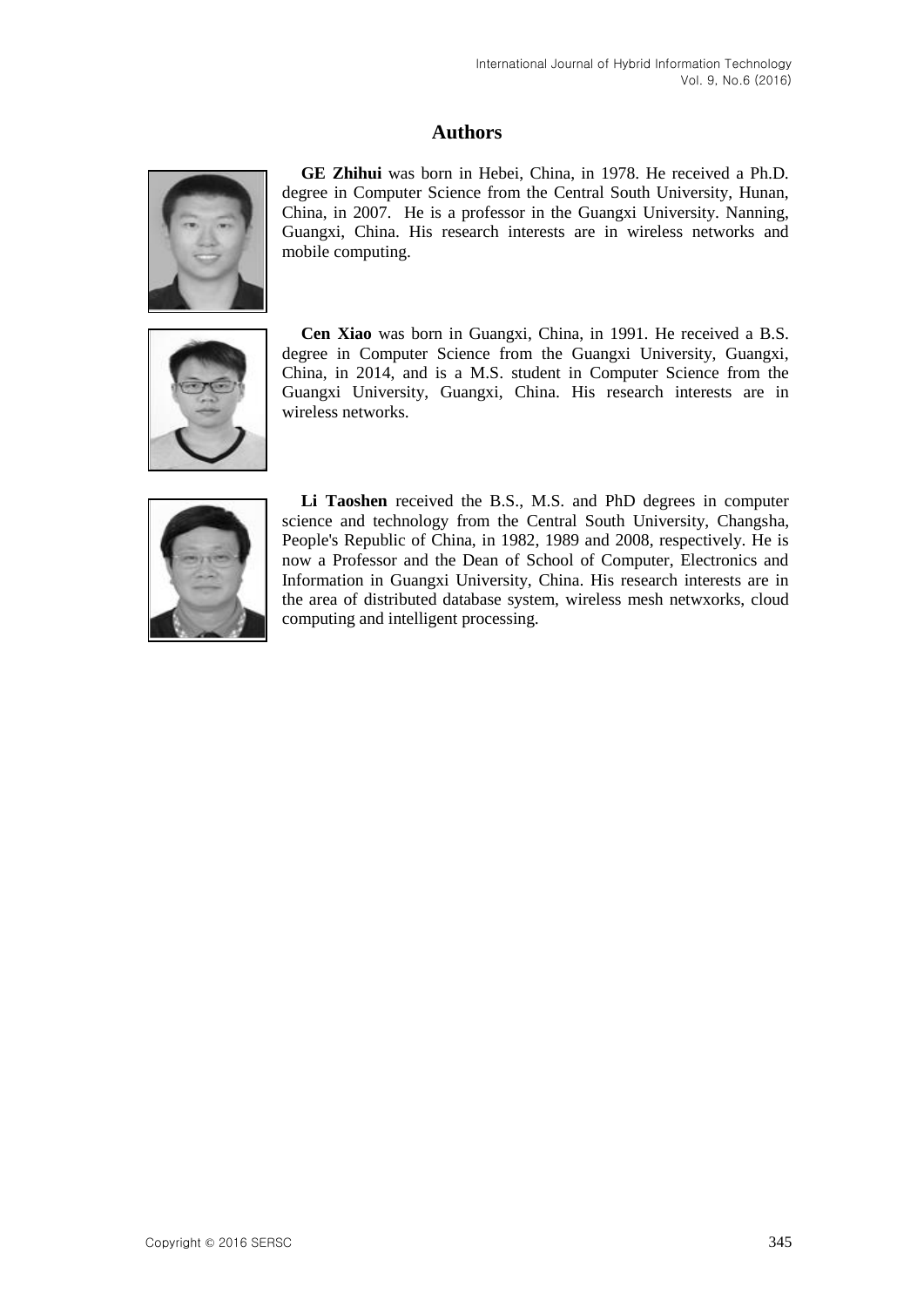# **Authors**



**GE Zhihui** was born in Hebei, China, in 1978. He received a Ph.D. degree in Computer Science from the Central South University, Hunan, China, in 2007. He is a professor in the Guangxi University. Nanning, Guangxi, China. His research interests are in wireless networks and mobile computing.



**Cen Xiao** was born in Guangxi, China, in 1991. He received a B.S. degree in Computer Science from the Guangxi University, Guangxi, China, in 2014, and is a M.S. student in Computer Science from the Guangxi University, Guangxi, China. His research interests are in wireless networks.



**Li Taoshen** received the B.S., M.S. and PhD degrees in computer science and technology from the Central South University, Changsha, People's Republic of China, in 1982, 1989 and 2008, respectively. He is now a Professor and the Dean of School of Computer, Electronics and Information in Guangxi University, China. His research interests are in the area of distributed database system, wireless mesh netwxorks, cloud computing and intelligent processing.